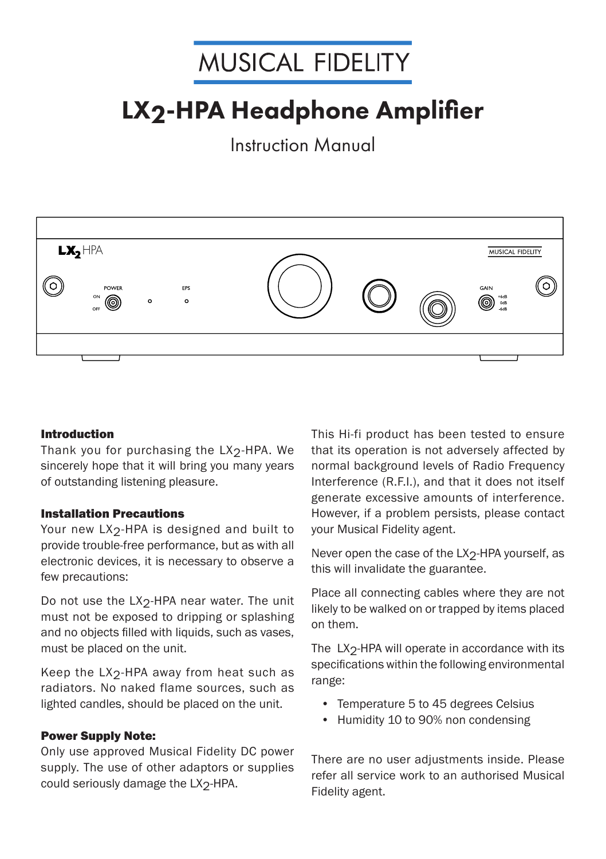# **MUSICAL FIDELITY**

# LX2-HPA Headphone Amplifier

Instruction Manual



## Introduction

Thank you for purchasing the LX<sub>2</sub>-HPA. We sincerely hope that it will bring you many years of outstanding listening pleasure.

## Installation Precautions

Your new LX<sub>2</sub>-HPA is designed and built to provide trouble-free performance, but as with all electronic devices, it is necessary to observe a few precautions:

Do not use the LX<sub>2</sub>-HPA near water. The unit must not be exposed to dripping or splashing and no objects filled with liquids, such as vases, must be placed on the unit.

Keep the LX<sub>2</sub>-HPA away from heat such as radiators. No naked flame sources, such as lighted candles, should be placed on the unit.

## **Power Supply Note:**

Only use approved Musical Fidelity DC power supply. The use of other adaptors or supplies could seriously damage the LX<sub>2</sub>-HPA.

This Hi-fi product has been tested to ensure that its operation is not adversely affected by normal background levels of Radio Frequency Interference (R.F.I.), and that it does not itself generate excessive amounts of interference. However, if a problem persists, please contact your Musical Fidelity agent.

Never open the case of the  $LX_2$ -HPA yourself, as this will invalidate the guarantee.

Place all connecting cables where they are not likely to be walked on or trapped by items placed on them.

The  $LX<sub>2</sub>$ -HPA will operate in accordance with its specifications within the following environmental range:

- Temperature 5 to 45 degrees Celsius
- Humidity 10 to 90% non condensing

There are no user adjustments inside. Please refer all service work to an authorised Musical Fidelity agent.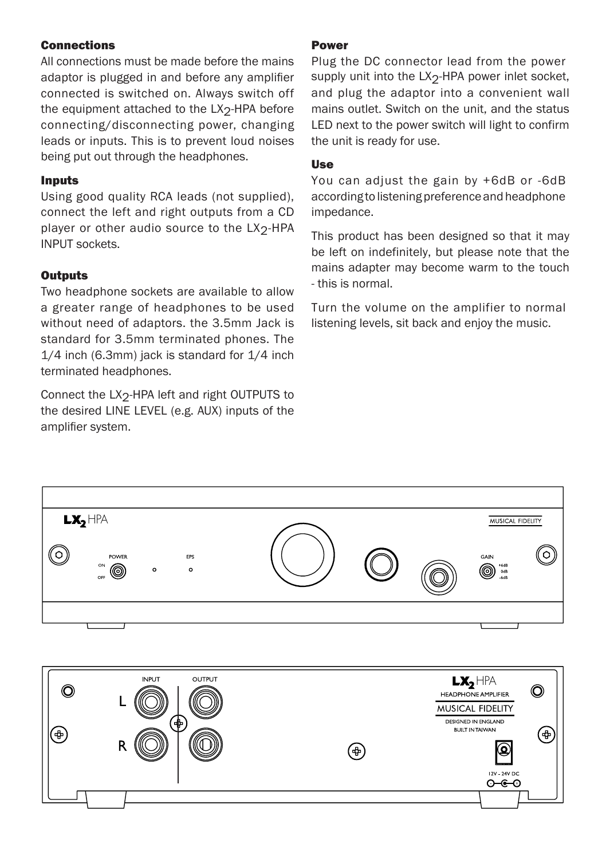## Connections

All connections must be made before the mains adaptor is plugged in and before any amplifier connected is switched on. Always switch off the equipment attached to the LX<sub>2</sub>-HPA before connecting/disconnecting power, changing leads or inputs. This is to prevent loud noises being put out through the headphones.

## Inputs

Using good quality RCA leads (not supplied), connect the left and right outputs from a CD player or other audio source to the LX<sub>2</sub>-HPA INPUT sockets.

## **Outputs**

Two headphone sockets are available to allow a greater range of headphones to be used without need of adaptors. the 3.5mm Jack is standard for 3.5mm terminated phones. The 1/4 inch (6.3mm) jack is standard for 1/4 inch terminated headphones.

Connect the LX<sub>2</sub>-HPA left and right OUTPUTS to the desired LINE LEVEL (e.g. AUX) inputs of the amplifier system.

## Power

Plug the DC connector lead from the power supply unit into the  $LX_2$ -HPA power inlet socket, and plug the adaptor into a convenient wall mains outlet. Switch on the unit, and the status LED next to the power switch will light to confirm the unit is ready for use.

## Use

You can adjust the gain by +6dB or -6dB according to listening preference and headphone impedance.

This product has been designed so that it may be left on indefinitely, but please note that the mains adapter may become warm to the touch - this is normal.

Turn the volume on the amplifier to normal listening levels, sit back and enjoy the music.



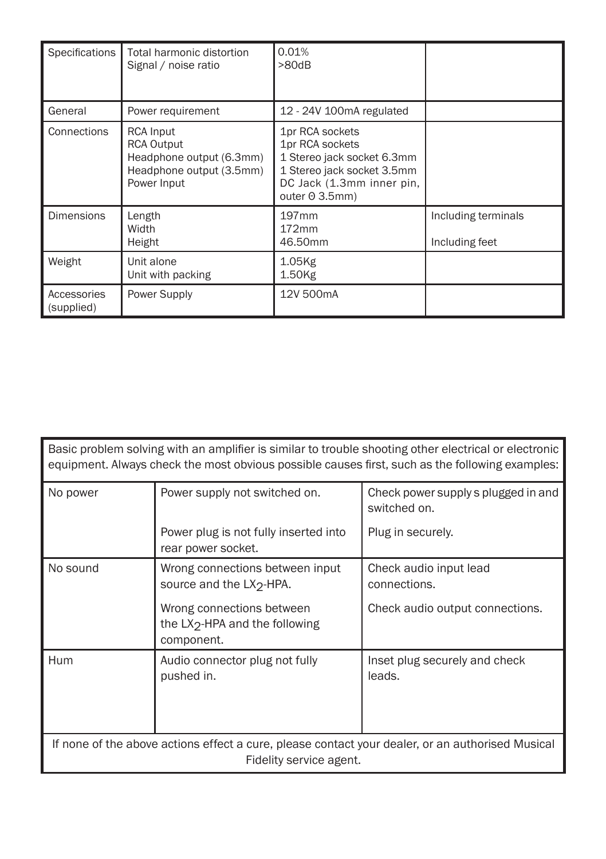| Specifications            | Total harmonic distortion<br>Signal / noise ratio                                                            | 0.01%<br>>80dB                                                                                                                                       |                                       |
|---------------------------|--------------------------------------------------------------------------------------------------------------|------------------------------------------------------------------------------------------------------------------------------------------------------|---------------------------------------|
| General                   | Power requirement                                                                                            | 12 - 24V 100mA regulated                                                                                                                             |                                       |
| Connections               | <b>RCA Input</b><br><b>RCA Output</b><br>Headphone output (6.3mm)<br>Headphone output (3.5mm)<br>Power Input | 1pr RCA sockets<br>1pr RCA sockets<br>1 Stereo jack socket 6.3mm<br>1 Stereo jack socket 3.5mm<br>DC Jack (1.3mm inner pin,<br>outer $\Theta$ 3.5mm) |                                       |
| <b>Dimensions</b>         | Length<br>Width<br>Height                                                                                    | 197 <sub>mm</sub><br>172mm<br>46.50mm                                                                                                                | Including terminals<br>Including feet |
| Weight                    | Unit alone<br>Unit with packing                                                                              | 1.05Kg<br>1.50Kg                                                                                                                                     |                                       |
| Accessories<br>(supplied) | Power Supply                                                                                                 | 12V 500mA                                                                                                                                            |                                       |

| .<br>the contract of the contract of the contract of the contract of the contract of the contract of the contract of |  |  |  |  |
|----------------------------------------------------------------------------------------------------------------------|--|--|--|--|
| equipment. Always check the most obvious possible causes first, such as the following examples:                      |  |  |  |  |
| Basic problem solving with an amplifier is similar to trouble shooting other electrical or electronic                |  |  |  |  |

| No power                                                                                                                    | Power supply not switched on.                                                         | Check power supply s plugged in and<br>switched on. |  |
|-----------------------------------------------------------------------------------------------------------------------------|---------------------------------------------------------------------------------------|-----------------------------------------------------|--|
|                                                                                                                             | Power plug is not fully inserted into<br>rear power socket.                           | Plug in securely.                                   |  |
| No sound                                                                                                                    | Wrong connections between input<br>source and the LX <sub>2</sub> -HPA.               | Check audio input lead<br>connections.              |  |
|                                                                                                                             | Wrong connections between<br>the LX <sub>2</sub> -HPA and the following<br>component. | Check audio output connections.                     |  |
| Hum                                                                                                                         | Audio connector plug not fully<br>pushed in.                                          | Inset plug securely and check<br>leads.             |  |
| If none of the above actions effect a cure, please contact your dealer, or an authorised Musical<br>Fidelity service agent. |                                                                                       |                                                     |  |